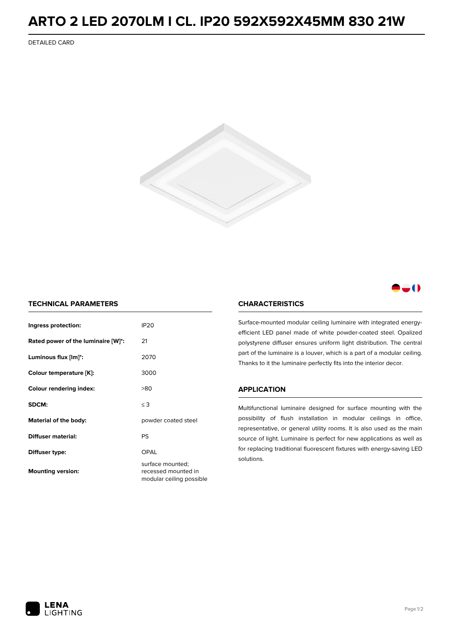## **ARTO 2 LED 2070LM I CL. IP20 592X592X45MM 830 21W**

DETAILED CARD



### -0

#### **TECHNICAL PARAMETERS**

| Ingress protection:                | <b>IP20</b>                                                         |  |
|------------------------------------|---------------------------------------------------------------------|--|
| Rated power of the luminaire [W]*: | 21                                                                  |  |
| Luminous flux [lm]*:               | 2070                                                                |  |
| Colour temperature [K]:            | 3000                                                                |  |
| <b>Colour rendering index:</b>     | >80                                                                 |  |
| SDCM:                              | $\leq$ 3                                                            |  |
| Material of the body:              | powder coated steel                                                 |  |
| Diffuser material:                 | PS                                                                  |  |
| Diffuser type:                     | OPAL                                                                |  |
| <b>Mounting version:</b>           | surface mounted;<br>recessed mounted in<br>modular ceiling possible |  |

#### **CHARACTERISTICS**

Surface-mounted modular ceiling luminaire with integrated energyefficient LED panel made of white powder-coated steel. Opalized polystyrene diffuser ensures uniform light distribution. The central part of the luminaire is a louver, which is a part of a modular ceiling. Thanks to it the luminaire perfectly fits into the interior decor.

#### **APPLICATION**

Multifunctional luminaire designed for surface mounting with the possibility of flush installation in modular ceilings in office, representative, or general utility rooms. It is also used as the main source of light. Luminaire is perfect for new applications as well as for replacing traditional fluorescent fixtures with energy-saving LED solutions.